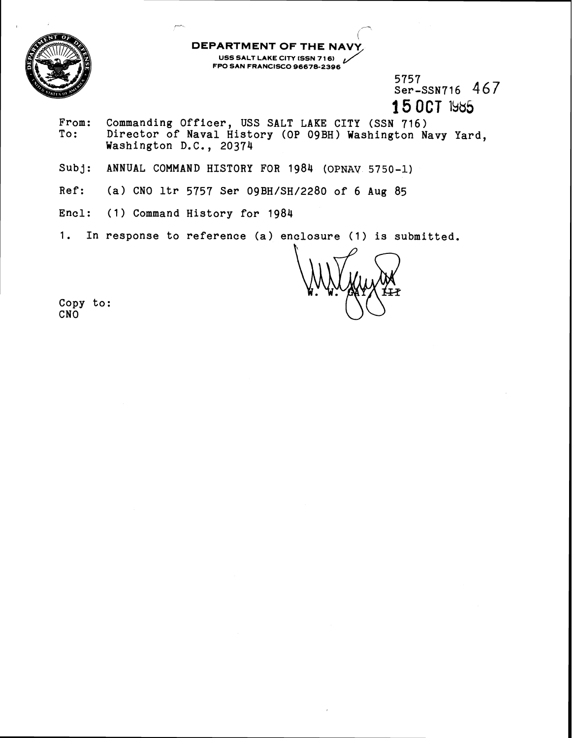

5757  $Ser - SSN716 467$ **15 OCT** 1985

From: Commanding Officer, USS SALT LAKE CITY (SSN 716)<br>To: Director of Naval History (OP 09BH) Washington N Director of Naval History (OP 09BH) Washington Navy Yard, Washington D.C., 20374

 $\overline{\phantom{a}}$ 

**DEPARTMENT OF THE NAVY,** 

**FPO SAN FRANCISCO 96678-2396** 

**UST THE NAVY<br>USS SALT LAKE CITY (SSN 716)**<br>PO SAN FRANCISCO 96678-2396

- Subj: ANNUAL COMMAND HISTORY FOR 1984 **(OPNAV** 5750-1)
- Ref: (a) CNO ltr 5757 Ser 09BH/SH/2280 of 6 Aug 85
- Encl: (1) Command History for 1984
- 1. In response to reference (a) enclosure (1) is submitted.

i

Copy to: CNO